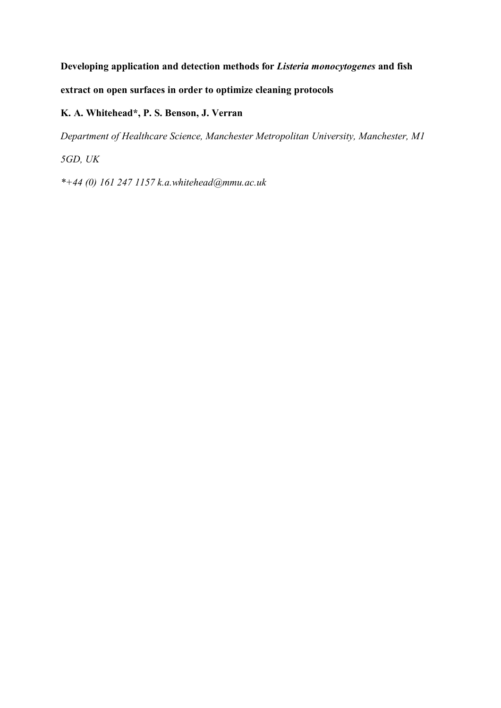**Developing application and detection methods for** *Listeria monocytogenes* **and fish extract on open surfaces in order to optimize cleaning protocols** 

# **K. A. Whitehead\*, P. S. Benson, J. Verran**

*Department of Healthcare Science, Manchester Metropolitan University, Manchester, M1* 

*5GD, UK* 

*\*+44 (0) 161 247 1157 k.a.whitehead@mmu.ac.uk*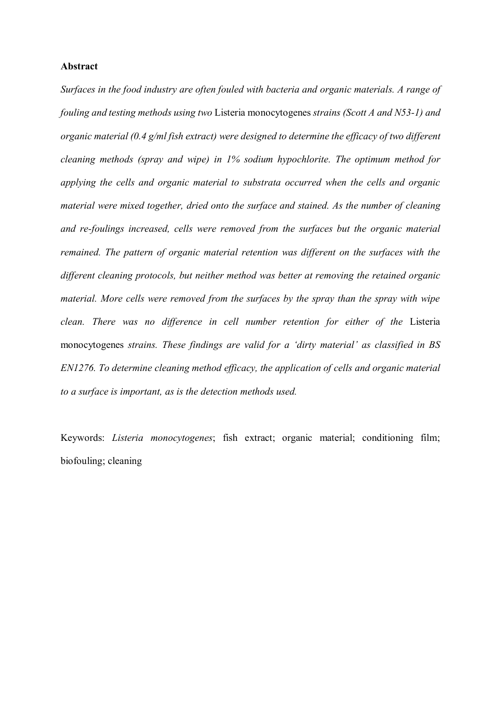## **Abstract**

*Surfaces in the food industry are often fouled with bacteria and organic materials. A range of fouling and testing methods using two* Listeria monocytogenes *strains (Scott A and N53-1) and organic material (0.4 g/ml fish extract) were designed to determine the efficacy of two different cleaning methods (spray and wipe) in 1% sodium hypochlorite. The optimum method for applying the cells and organic material to substrata occurred when the cells and organic material were mixed together, dried onto the surface and stained. As the number of cleaning and re-foulings increased, cells were removed from the surfaces but the organic material remained. The pattern of organic material retention was different on the surfaces with the different cleaning protocols, but neither method was better at removing the retained organic material. More cells were removed from the surfaces by the spray than the spray with wipe clean. There was no difference in cell number retention for either of the* Listeria monocytogenes *strains. These findings are valid for a 'dirty material' as classified in BS EN1276. To determine cleaning method efficacy, the application of cells and organic material to a surface is important, as is the detection methods used.*

Keywords: *Listeria monocytogenes*; fish extract; organic material; conditioning film; biofouling; cleaning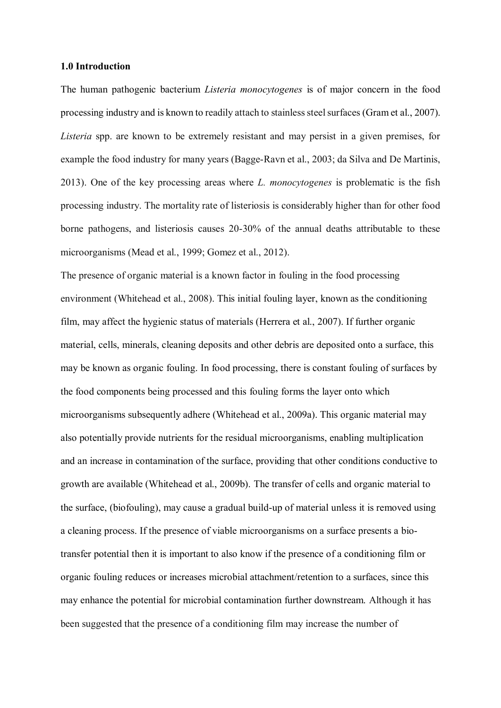#### **1.0 Introduction**

The human pathogenic bacterium *Listeria monocytogenes* is of major concern in the food processing industry and is known to readily attach to stainless steel surfaces (Gram et al., 2007). *Listeria* spp. are known to be extremely resistant and may persist in a given premises, for example the food industry for many years (Bagge-Ravn et al., 2003; da Silva and De Martinis, 2013). One of the key processing areas where *L. monocytogenes* is problematic is the fish processing industry. The mortality rate of listeriosis is considerably higher than for other food borne pathogens, and listeriosis causes 20-30% of the annual deaths attributable to these microorganisms (Mead et al., 1999; Gomez et al., 2012).

The presence of organic material is a known factor in fouling in the food processing environment (Whitehead et al., 2008). This initial fouling layer, known as the conditioning film, may affect the hygienic status of materials (Herrera et al., 2007). If further organic material, cells, minerals, cleaning deposits and other debris are deposited onto a surface, this may be known as organic fouling. In food processing, there is constant fouling of surfaces by the food components being processed and this fouling forms the layer onto which microorganisms subsequently adhere (Whitehead et al., 2009a). This organic material may also potentially provide nutrients for the residual microorganisms, enabling multiplication and an increase in contamination of the surface, providing that other conditions conductive to growth are available (Whitehead et al., 2009b). The transfer of cells and organic material to the surface, (biofouling), may cause a gradual build-up of material unless it is removed using a cleaning process. If the presence of viable microorganisms on a surface presents a biotransfer potential then it is important to also know if the presence of a conditioning film or organic fouling reduces or increases microbial attachment/retention to a surfaces, since this may enhance the potential for microbial contamination further downstream. Although it has been suggested that the presence of a conditioning film may increase the number of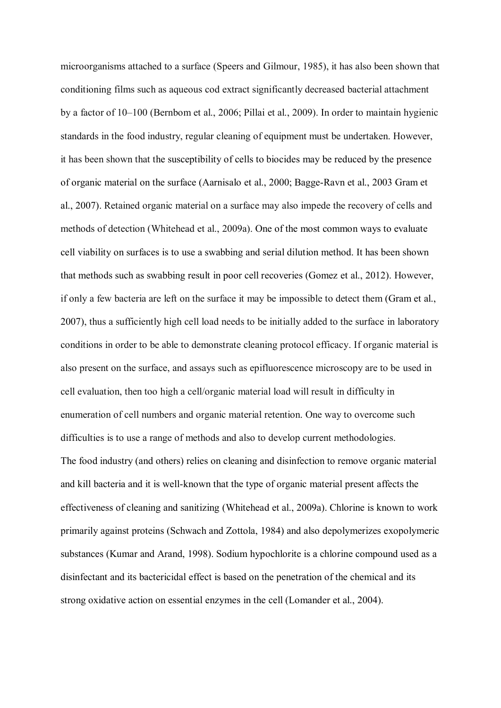microorganisms attached to a surface (Speers and Gilmour, 1985), it has also been shown that conditioning films such as aqueous cod extract significantly decreased bacterial attachment by a factor of 10–100 (Bernbom et al., 2006; Pillai et al., 2009). In order to maintain hygienic standards in the food industry, regular cleaning of equipment must be undertaken. However, it has been shown that the susceptibility of cells to biocides may be reduced by the presence of organic material on the surface (Aarnisalo et al., 2000; Bagge-Ravn et al., 2003 Gram et al., 2007). Retained organic material on a surface may also impede the recovery of cells and methods of detection (Whitehead et al., 2009a). One of the most common ways to evaluate cell viability on surfaces is to use a swabbing and serial dilution method. It has been shown that methods such as swabbing result in poor cell recoveries (Gomez et al., 2012). However, if only a few bacteria are left on the surface it may be impossible to detect them (Gram et al., 2007), thus a sufficiently high cell load needs to be initially added to the surface in laboratory conditions in order to be able to demonstrate cleaning protocol efficacy. If organic material is also present on the surface, and assays such as epifluorescence microscopy are to be used in cell evaluation, then too high a cell/organic material load will result in difficulty in enumeration of cell numbers and organic material retention. One way to overcome such difficulties is to use a range of methods and also to develop current methodologies. The food industry (and others) relies on cleaning and disinfection to remove organic material and kill bacteria and it is well-known that the type of organic material present affects the effectiveness of cleaning and sanitizing (Whitehead et al., 2009a). Chlorine is known to work primarily against proteins (Schwach and Zottola, 1984) and also depolymerizes exopolymeric substances (Kumar and Arand, 1998). Sodium hypochlorite is a chlorine compound used as a disinfectant and its bactericidal effect is based on the penetration of the chemical and its strong oxidative action on essential enzymes in the cell (Lomander et al., 2004).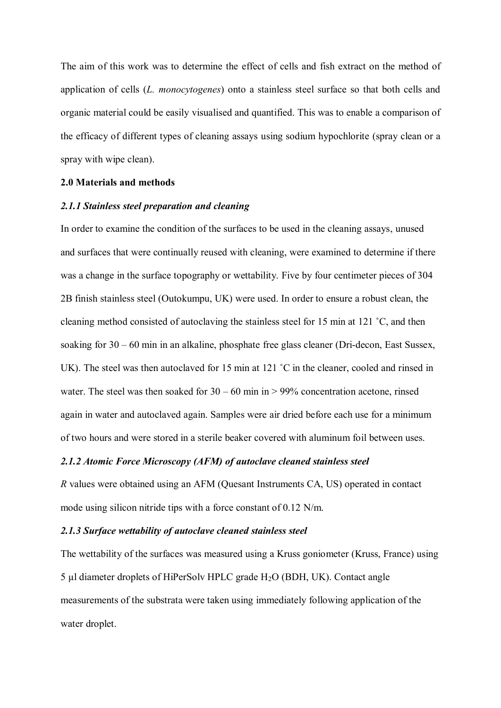The aim of this work was to determine the effect of cells and fish extract on the method of application of cells (*L. monocytogenes*) onto a stainless steel surface so that both cells and organic material could be easily visualised and quantified. This was to enable a comparison of the efficacy of different types of cleaning assays using sodium hypochlorite (spray clean or a spray with wipe clean).

## **2.0 Materials and methods**

## *2.1.1 Stainless steel preparation and cleaning*

In order to examine the condition of the surfaces to be used in the cleaning assays, unused and surfaces that were continually reused with cleaning, were examined to determine if there was a change in the surface topography or wettability. Five by four centimeter pieces of 304 2B finish stainless steel (Outokumpu, UK) were used. In order to ensure a robust clean, the cleaning method consisted of autoclaving the stainless steel for 15 min at 121 ˚C, and then soaking for 30 – 60 min in an alkaline, phosphate free glass cleaner (Dri-decon, East Sussex, UK). The steel was then autoclaved for 15 min at 121 °C in the cleaner, cooled and rinsed in water. The steel was then soaked for  $30 - 60$  min in  $> 99\%$  concentration acetone, rinsed again in water and autoclaved again. Samples were air dried before each use for a minimum of two hours and were stored in a sterile beaker covered with aluminum foil between uses.

## *2.1.2 Atomic Force Microscopy (AFM) of autoclave cleaned stainless steel*

*R* values were obtained using an AFM (Quesant Instruments CA, US) operated in contact mode using silicon nitride tips with a force constant of 0.12 N/m.

## *2.1.3 Surface wettability of autoclave cleaned stainless steel*

The wettability of the surfaces was measured using a Kruss goniometer (Kruss, France) using 5 µl diameter droplets of HiPerSolv HPLC grade H2O (BDH, UK). Contact angle measurements of the substrata were taken using immediately following application of the water droplet.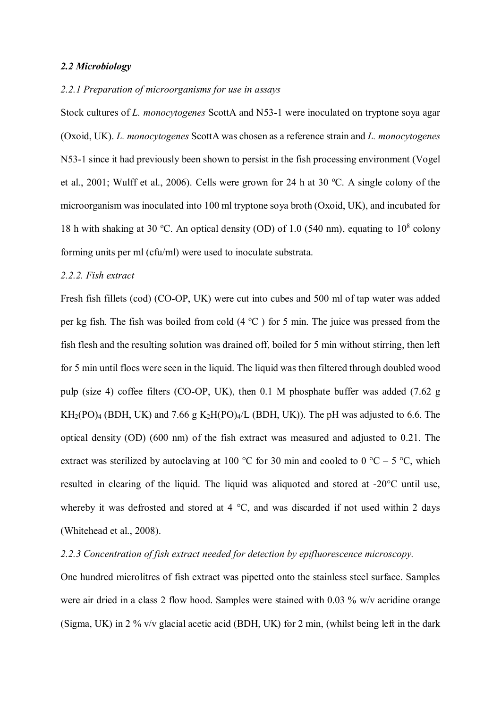## *2.2 Microbiology*

## *2.2.1 Preparation of microorganisms for use in assays*

Stock cultures of *L. monocytogenes* ScottA and N53-1 were inoculated on tryptone soya agar (Oxoid, UK). *L. monocytogenes* ScottA was chosen as a reference strain and *L. monocytogenes* N53-1 since it had previously been shown to persist in the fish processing environment (Vogel et al., 2001; Wulff et al., 2006). Cells were grown for 24 h at 30  $^{\circ}$ C. A single colony of the microorganism was inoculated into 100 ml tryptone soya broth (Oxoid, UK), and incubated for 18 h with shaking at 30 °C. An optical density (OD) of 1.0 (540 nm), equating to  $10^8$  colony forming units per ml (cfu/ml) were used to inoculate substrata.

## *2.2.2. Fish extract*

Fresh fish fillets (cod) (CO-OP, UK) were cut into cubes and 500 ml of tap water was added per kg fish. The fish was boiled from cold  $(4 °C)$  for 5 min. The juice was pressed from the fish flesh and the resulting solution was drained off, boiled for 5 min without stirring, then left for 5 min until flocs were seen in the liquid. The liquid was then filtered through doubled wood pulp (size 4) coffee filters (CO-OP, UK), then 0.1 M phosphate buffer was added (7.62 g  $KH_2(PO)_4$  (BDH, UK) and 7.66 g  $K_2H(PO)_4/L$  (BDH, UK)). The pH was adjusted to 6.6. The optical density (OD) (600 nm) of the fish extract was measured and adjusted to 0.21. The extract was sterilized by autoclaving at 100 °C for 30 min and cooled to 0 °C – 5 °C, which resulted in clearing of the liquid. The liquid was aliquoted and stored at -20°C until use, whereby it was defrosted and stored at 4 °C, and was discarded if not used within 2 days (Whitehead et al., 2008).

## *2.2.3 Concentration of fish extract needed for detection by epifluorescence microscopy.*

One hundred microlitres of fish extract was pipetted onto the stainless steel surface. Samples were air dried in a class 2 flow hood. Samples were stained with 0.03 % w/v acridine orange (Sigma, UK) in 2 % v/v glacial acetic acid (BDH, UK) for 2 min, (whilst being left in the dark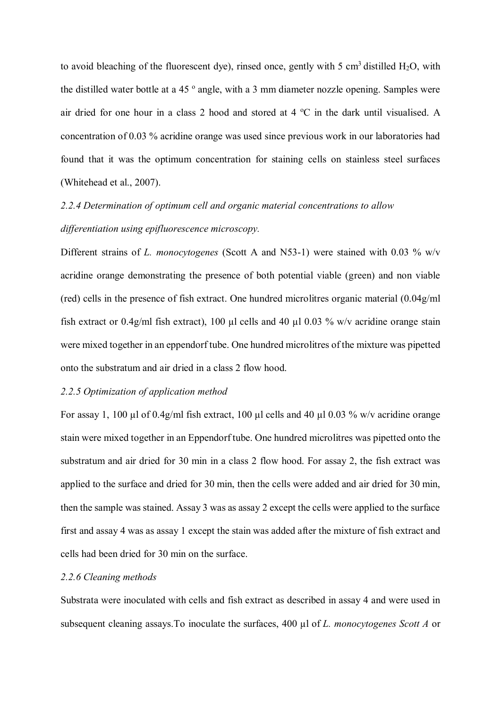to avoid bleaching of the fluorescent dye), rinsed once, gently with 5 cm<sup>3</sup> distilled  $H_2O$ , with the distilled water bottle at a 45 $^{\circ}$  angle, with a 3 mm diameter nozzle opening. Samples were air dried for one hour in a class 2 hood and stored at 4  $\rm{^{\circ}C}$  in the dark until visualised. A concentration of 0.03 % acridine orange was used since previous work in our laboratories had found that it was the optimum concentration for staining cells on stainless steel surfaces (Whitehead et al., 2007).

# *2.2.4 Determination of optimum cell and organic material concentrations to allow differentiation using epifluorescence microscopy.*

Different strains of *L. monocytogenes* (Scott A and N53-1) were stained with 0.03 % w/v acridine orange demonstrating the presence of both potential viable (green) and non viable (red) cells in the presence of fish extract. One hundred microlitres organic material (0.04g/ml fish extract or 0.4g/ml fish extract), 100  $\mu$ l cells and 40  $\mu$ l 0.03 % w/v acridine orange stain were mixed together in an eppendorf tube. One hundred microlitres of the mixture was pipetted onto the substratum and air dried in a class 2 flow hood.

## *2.2.5 Optimization of application method*

For assay 1, 100  $\mu$ l of 0.4g/ml fish extract, 100  $\mu$ l cells and 40  $\mu$ l 0.03 % w/v acridine orange stain were mixed together in an Eppendorf tube. One hundred microlitres was pipetted onto the substratum and air dried for 30 min in a class 2 flow hood. For assay 2, the fish extract was applied to the surface and dried for 30 min, then the cells were added and air dried for 30 min, then the sample was stained. Assay 3 was as assay 2 except the cells were applied to the surface first and assay 4 was as assay 1 except the stain was added after the mixture of fish extract and cells had been dried for 30 min on the surface.

## *2.2.6 Cleaning methods*

Substrata were inoculated with cells and fish extract as described in assay 4 and were used in subsequent cleaning assays.To inoculate the surfaces, 400 µl of *L. monocytogenes Scott A* or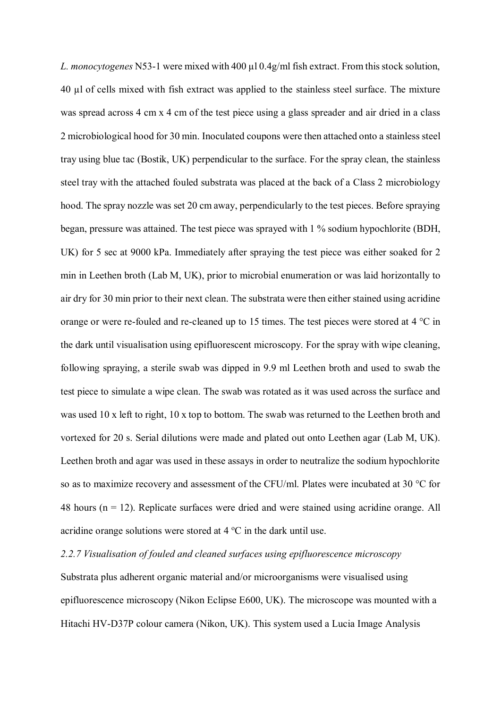*L. monocytogenes* N53-1 were mixed with 400 µl 0.4g/ml fish extract. From this stock solution, 40 µl of cells mixed with fish extract was applied to the stainless steel surface. The mixture was spread across 4 cm x 4 cm of the test piece using a glass spreader and air dried in a class 2 microbiological hood for 30 min. Inoculated coupons were then attached onto a stainless steel tray using blue tac (Bostik, UK) perpendicular to the surface. For the spray clean, the stainless steel tray with the attached fouled substrata was placed at the back of a Class 2 microbiology hood. The spray nozzle was set 20 cm away, perpendicularly to the test pieces. Before spraying began, pressure was attained. The test piece was sprayed with 1 % sodium hypochlorite (BDH, UK) for 5 sec at 9000 kPa. Immediately after spraying the test piece was either soaked for 2 min in Leethen broth (Lab M, UK), prior to microbial enumeration or was laid horizontally to air dry for 30 min prior to their next clean. The substrata were then either stained using acridine orange or were re-fouled and re-cleaned up to 15 times. The test pieces were stored at 4 °C in the dark until visualisation using epifluorescent microscopy. For the spray with wipe cleaning, following spraying, a sterile swab was dipped in 9.9 ml Leethen broth and used to swab the test piece to simulate a wipe clean. The swab was rotated as it was used across the surface and was used 10 x left to right, 10 x top to bottom. The swab was returned to the Leethen broth and vortexed for 20 s. Serial dilutions were made and plated out onto Leethen agar (Lab M, UK). Leethen broth and agar was used in these assays in order to neutralize the sodium hypochlorite so as to maximize recovery and assessment of the CFU/ml. Plates were incubated at 30 °C for 48 hours ( $n = 12$ ). Replicate surfaces were dried and were stained using acridine orange. All acridine orange solutions were stored at  $4^{\circ}$ C in the dark until use.

*2.2.7 Visualisation of fouled and cleaned surfaces using epifluorescence microscopy*

Substrata plus adherent organic material and/or microorganisms were visualised using epifluorescence microscopy (Nikon Eclipse E600, UK). The microscope was mounted with a Hitachi HV-D37P colour camera (Nikon, UK). This system used a Lucia Image Analysis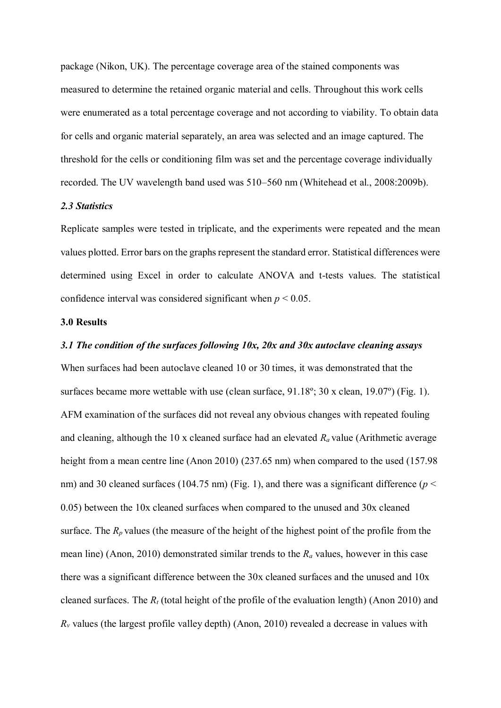package (Nikon, UK). The percentage coverage area of the stained components was measured to determine the retained organic material and cells. Throughout this work cells were enumerated as a total percentage coverage and not according to viability. To obtain data for cells and organic material separately, an area was selected and an image captured. The threshold for the cells or conditioning film was set and the percentage coverage individually recorded. The UV wavelength band used was 510–560 nm (Whitehead et al., 2008:2009b).

## *2.3 Statistics*

Replicate samples were tested in triplicate, and the experiments were repeated and the mean values plotted. Error bars on the graphs represent the standard error. Statistical differences were determined using Excel in order to calculate ANOVA and t-tests values. The statistical confidence interval was considered significant when  $p \leq 0.05$ .

## **3.0 Results**

## *3.1 The condition of the surfaces following 10x, 20x and 30x autoclave cleaning assays*

When surfaces had been autoclave cleaned 10 or 30 times, it was demonstrated that the surfaces became more wettable with use (clean surface, 91.18º; 30 x clean, 19.07º) (Fig. 1). AFM examination of the surfaces did not reveal any obvious changes with repeated fouling and cleaning, although the 10 x cleaned surface had an elevated *R<sup>a</sup>* value (Arithmetic average height from a mean centre line (Anon 2010) (237.65 nm) when compared to the used (157.98 nm) and 30 cleaned surfaces (104.75 nm) (Fig. 1), and there was a significant difference ( $p <$ 0.05) between the 10x cleaned surfaces when compared to the unused and 30x cleaned surface. The  $R_p$  values (the measure of the height of the highest point of the profile from the mean line) (Anon, 2010) demonstrated similar trends to the *R<sup>a</sup>* values, however in this case there was a significant difference between the 30x cleaned surfaces and the unused and 10x cleaned surfaces. The *R<sup>t</sup>* (total height of the profile of the evaluation length) (Anon 2010) and  $R<sub>v</sub>$  values (the largest profile valley depth) (Anon, 2010) revealed a decrease in values with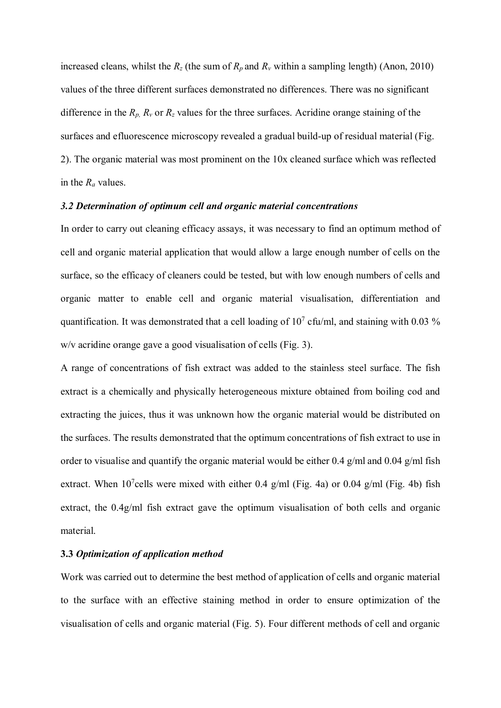increased cleans, whilst the  $R_z$  (the sum of  $R_p$  and  $R_v$  within a sampling length) (Anon, 2010) values of the three different surfaces demonstrated no differences. There was no significant difference in the  $R_p$ ,  $R_v$  or  $R_z$  values for the three surfaces. Acridine orange staining of the surfaces and efluorescence microscopy revealed a gradual build-up of residual material (Fig. 2). The organic material was most prominent on the 10x cleaned surface which was reflected in the *R<sup>a</sup>* values.

#### *3.2 Determination of optimum cell and organic material concentrations*

In order to carry out cleaning efficacy assays, it was necessary to find an optimum method of cell and organic material application that would allow a large enough number of cells on the surface, so the efficacy of cleaners could be tested, but with low enough numbers of cells and organic matter to enable cell and organic material visualisation, differentiation and quantification. It was demonstrated that a cell loading of  $10<sup>7</sup>$  cfu/ml, and staining with 0.03 % w/v acridine orange gave a good visualisation of cells (Fig. 3).

A range of concentrations of fish extract was added to the stainless steel surface. The fish extract is a chemically and physically heterogeneous mixture obtained from boiling cod and extracting the juices, thus it was unknown how the organic material would be distributed on the surfaces. The results demonstrated that the optimum concentrations of fish extract to use in order to visualise and quantify the organic material would be either 0.4 g/ml and 0.04 g/ml fish extract. When 10<sup>7</sup>cells were mixed with either 0.4 g/ml (Fig. 4a) or 0.04 g/ml (Fig. 4b) fish extract, the 0.4g/ml fish extract gave the optimum visualisation of both cells and organic material.

## **3.3** *Optimization of application method*

Work was carried out to determine the best method of application of cells and organic material to the surface with an effective staining method in order to ensure optimization of the visualisation of cells and organic material (Fig. 5). Four different methods of cell and organic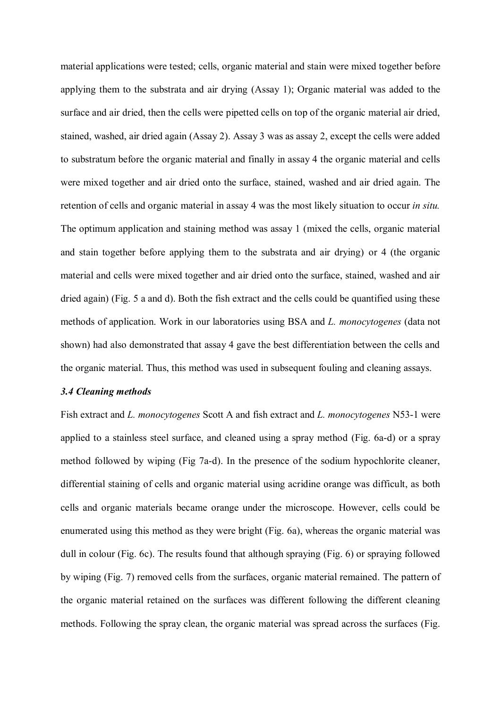material applications were tested; cells, organic material and stain were mixed together before applying them to the substrata and air drying (Assay 1); Organic material was added to the surface and air dried, then the cells were pipetted cells on top of the organic material air dried, stained, washed, air dried again (Assay 2). Assay 3 was as assay 2, except the cells were added to substratum before the organic material and finally in assay 4 the organic material and cells were mixed together and air dried onto the surface, stained, washed and air dried again. The retention of cells and organic material in assay 4 was the most likely situation to occur *in situ.* The optimum application and staining method was assay 1 (mixed the cells, organic material and stain together before applying them to the substrata and air drying) or 4 (the organic material and cells were mixed together and air dried onto the surface, stained, washed and air dried again) (Fig. 5 a and d). Both the fish extract and the cells could be quantified using these methods of application. Work in our laboratories using BSA and *L. monocytogenes* (data not shown) had also demonstrated that assay 4 gave the best differentiation between the cells and the organic material. Thus, this method was used in subsequent fouling and cleaning assays.

#### *3.4 Cleaning methods*

Fish extract and *L. monocytogenes* Scott A and fish extract and *L. monocytogenes* N53-1 were applied to a stainless steel surface, and cleaned using a spray method (Fig. 6a-d) or a spray method followed by wiping (Fig 7a-d). In the presence of the sodium hypochlorite cleaner, differential staining of cells and organic material using acridine orange was difficult, as both cells and organic materials became orange under the microscope. However, cells could be enumerated using this method as they were bright (Fig. 6a), whereas the organic material was dull in colour (Fig. 6c). The results found that although spraying (Fig. 6) or spraying followed by wiping (Fig. 7) removed cells from the surfaces, organic material remained. The pattern of the organic material retained on the surfaces was different following the different cleaning methods. Following the spray clean, the organic material was spread across the surfaces (Fig.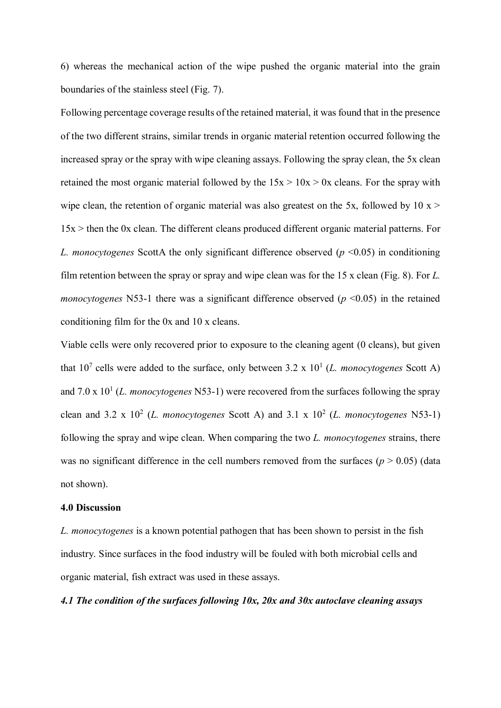6) whereas the mechanical action of the wipe pushed the organic material into the grain boundaries of the stainless steel (Fig. 7).

Following percentage coverage results of the retained material, it was found that in the presence of the two different strains, similar trends in organic material retention occurred following the increased spray or the spray with wipe cleaning assays. Following the spray clean, the 5x clean retained the most organic material followed by the  $15x > 10x > 0x$  cleans. For the spray with wipe clean, the retention of organic material was also greatest on the 5x, followed by 10  $x >$ 15x > then the 0x clean. The different cleans produced different organic material patterns. For *L. monocytogenes* ScottA the only significant difference observed ( $p \le 0.05$ ) in conditioning film retention between the spray or spray and wipe clean was for the 15 x clean (Fig. 8). For *L. monocytogenes* N53-1 there was a significant difference observed ( $p \le 0.05$ ) in the retained conditioning film for the 0x and 10 x cleans.

Viable cells were only recovered prior to exposure to the cleaning agent (0 cleans), but given that  $10^7$  cells were added to the surface, only between  $3.2 \times 10^1$  (*L. monocytogenes* Scott A) and  $7.0 \times 10^{1}$  (*L. monocytogenes* N53-1) were recovered from the surfaces following the spray clean and 3.2 x  $10^2$  (*L. monocytogenes* Scott A) and 3.1 x  $10^2$  (*L. monocytogenes* N53-1) following the spray and wipe clean. When comparing the two *L. monocytogenes* strains, there was no significant difference in the cell numbers removed from the surfaces  $(p > 0.05)$  (data not shown).

#### **4.0 Discussion**

*L. monocytogenes* is a known potential pathogen that has been shown to persist in the fish industry. Since surfaces in the food industry will be fouled with both microbial cells and organic material, fish extract was used in these assays.

*4.1 The condition of the surfaces following 10x, 20x and 30x autoclave cleaning assays*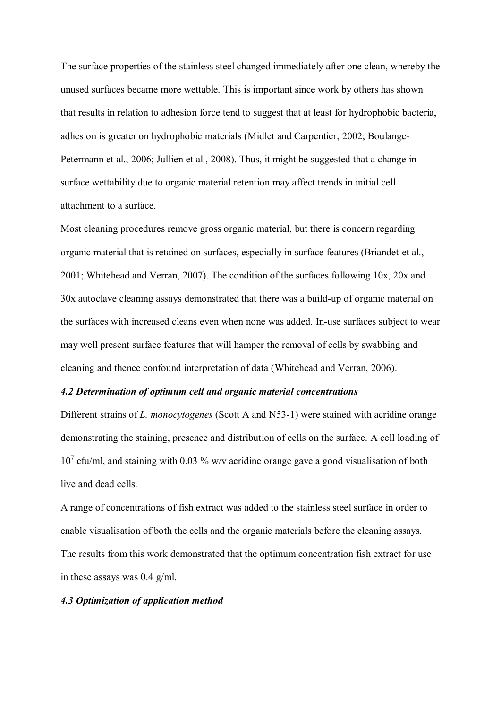The surface properties of the stainless steel changed immediately after one clean, whereby the unused surfaces became more wettable. This is important since work by others has shown that results in relation to adhesion force tend to suggest that at least for hydrophobic bacteria, adhesion is greater on hydrophobic materials (Midlet and Carpentier, 2002; Boulange-Petermann et al., 2006; Jullien et al., 2008). Thus, it might be suggested that a change in surface wettability due to organic material retention may affect trends in initial cell attachment to a surface.

Most cleaning procedures remove gross organic material, but there is concern regarding organic material that is retained on surfaces, especially in surface features (Briandet et al., 2001; Whitehead and Verran, 2007). The condition of the surfaces following 10x, 20x and 30x autoclave cleaning assays demonstrated that there was a build-up of organic material on the surfaces with increased cleans even when none was added. In-use surfaces subject to wear may well present surface features that will hamper the removal of cells by swabbing and cleaning and thence confound interpretation of data (Whitehead and Verran, 2006).

#### *4.2 Determination of optimum cell and organic material concentrations*

Different strains of *L. monocytogenes* (Scott A and N53-1) were stained with acridine orange demonstrating the staining, presence and distribution of cells on the surface. A cell loading of 10<sup>7</sup> cfu/ml, and staining with 0.03 % w/v acridine orange gave a good visualisation of both live and dead cells.

A range of concentrations of fish extract was added to the stainless steel surface in order to enable visualisation of both the cells and the organic materials before the cleaning assays. The results from this work demonstrated that the optimum concentration fish extract for use in these assays was 0.4 g/ml.

#### *4.3 Optimization of application method*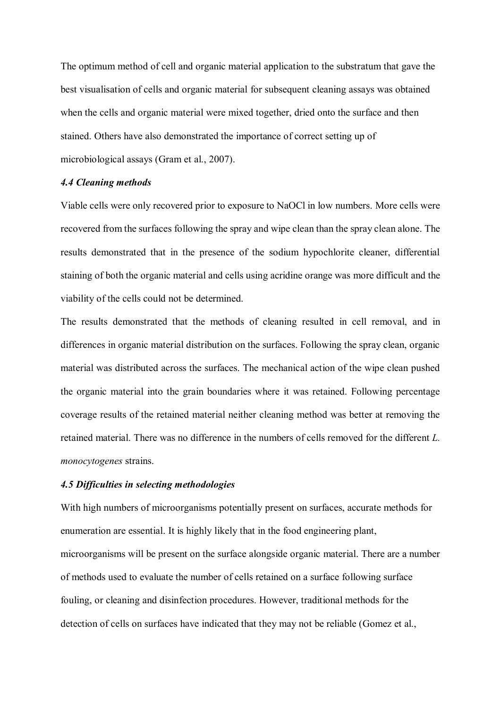The optimum method of cell and organic material application to the substratum that gave the best visualisation of cells and organic material for subsequent cleaning assays was obtained when the cells and organic material were mixed together, dried onto the surface and then stained. Others have also demonstrated the importance of correct setting up of microbiological assays (Gram et al., 2007).

# *4.4 Cleaning methods*

Viable cells were only recovered prior to exposure to NaOCl in low numbers. More cells were recovered from the surfaces following the spray and wipe clean than the spray clean alone. The results demonstrated that in the presence of the sodium hypochlorite cleaner, differential staining of both the organic material and cells using acridine orange was more difficult and the viability of the cells could not be determined.

The results demonstrated that the methods of cleaning resulted in cell removal, and in differences in organic material distribution on the surfaces. Following the spray clean, organic material was distributed across the surfaces. The mechanical action of the wipe clean pushed the organic material into the grain boundaries where it was retained. Following percentage coverage results of the retained material neither cleaning method was better at removing the retained material. There was no difference in the numbers of cells removed for the different *L. monocytogenes* strains.

## *4.5 Difficulties in selecting methodologies*

With high numbers of microorganisms potentially present on surfaces, accurate methods for enumeration are essential. It is highly likely that in the food engineering plant, microorganisms will be present on the surface alongside organic material. There are a number of methods used to evaluate the number of cells retained on a surface following surface fouling, or cleaning and disinfection procedures. However, traditional methods for the detection of cells on surfaces have indicated that they may not be reliable (Gomez et al.,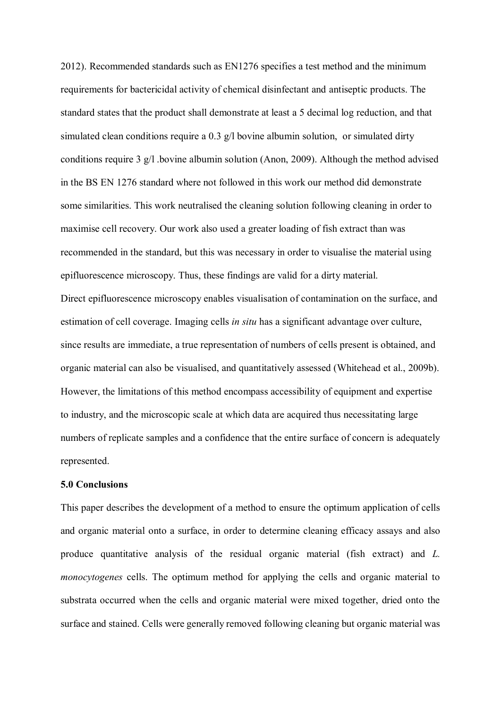2012). Recommended standards such as EN1276 specifies a test method and the minimum requirements for bactericidal activity of chemical disinfectant and antiseptic products. The standard states that the product shall demonstrate at least a 5 decimal log reduction, and that simulated clean conditions require a 0.3 g/l bovine albumin solution, or simulated dirty conditions require 3 g/l .bovine albumin solution (Anon, 2009). Although the method advised in the BS EN 1276 standard where not followed in this work our method did demonstrate some similarities. This work neutralised the cleaning solution following cleaning in order to maximise cell recovery. Our work also used a greater loading of fish extract than was recommended in the standard, but this was necessary in order to visualise the material using epifluorescence microscopy. Thus, these findings are valid for a dirty material. Direct epifluorescence microscopy enables visualisation of contamination on the surface, and estimation of cell coverage. Imaging cells *in situ* has a significant advantage over culture, since results are immediate, a true representation of numbers of cells present is obtained, and organic material can also be visualised, and quantitatively assessed (Whitehead et al., 2009b). However, the limitations of this method encompass accessibility of equipment and expertise to industry, and the microscopic scale at which data are acquired thus necessitating large numbers of replicate samples and a confidence that the entire surface of concern is adequately represented.

## **5.0 Conclusions**

This paper describes the development of a method to ensure the optimum application of cells and organic material onto a surface, in order to determine cleaning efficacy assays and also produce quantitative analysis of the residual organic material (fish extract) and *L. monocytogenes* cells. The optimum method for applying the cells and organic material to substrata occurred when the cells and organic material were mixed together, dried onto the surface and stained. Cells were generally removed following cleaning but organic material was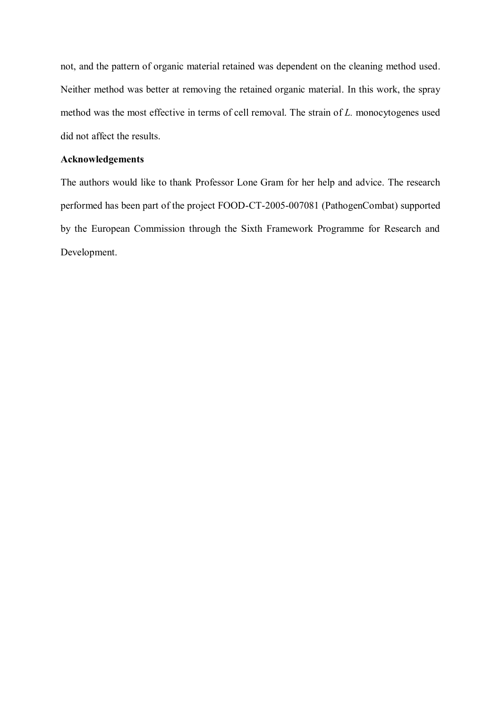not, and the pattern of organic material retained was dependent on the cleaning method used. Neither method was better at removing the retained organic material. In this work, the spray method was the most effective in terms of cell removal. The strain of *L.* monocytogenes used did not affect the results.

## **Acknowledgements**

The authors would like to thank Professor Lone Gram for her help and advice. The research performed has been part of the project FOOD-CT-2005-007081 (PathogenCombat) supported by the European Commission through the Sixth Framework Programme for Research and Development.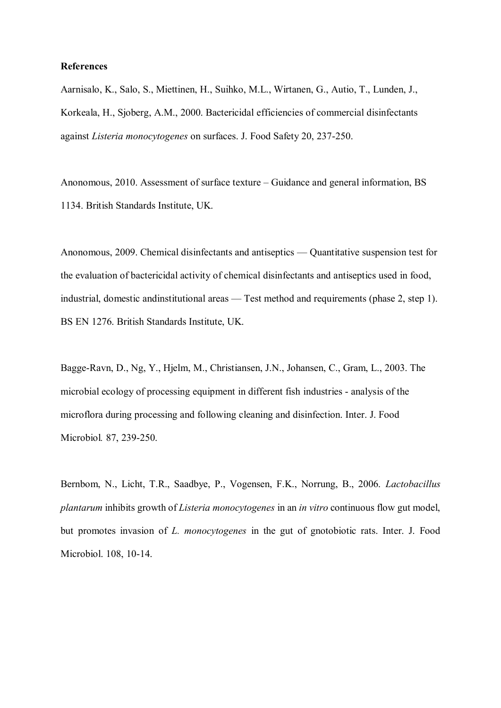#### **References**

Aarnisalo, K., Salo, S., Miettinen, H., Suihko, M.L., Wirtanen, G., Autio, T., Lunden, J., Korkeala, H., Sjoberg, A.M., 2000. Bactericidal efficiencies of commercial disinfectants against *Listeria monocytogenes* on surfaces. J. Food Safety 20, 237-250.

Anonomous, 2010. Assessment of surface texture – Guidance and general information, BS 1134. British Standards Institute, UK.

Anonomous, 2009. Chemical disinfectants and antiseptics — Quantitative suspension test for the evaluation of bactericidal activity of chemical disinfectants and antiseptics used in food, industrial, domestic andinstitutional areas — Test method and requirements (phase 2, step 1). BS EN 1276. British Standards Institute, UK.

Bagge-Ravn, D., Ng, Y., Hjelm, M., Christiansen, J.N., Johansen, C., Gram, L., 2003. The microbial ecology of processing equipment in different fish industries - analysis of the microflora during processing and following cleaning and disinfection. Inter. J. Food Microbiol*.* 87, 239-250.

Bernbom, N., Licht, T.R., Saadbye, P., Vogensen, F.K., Norrung, B., 2006. *Lactobacillus plantarum* inhibits growth of *Listeria monocytogenes* in an *in vitro* continuous flow gut model, but promotes invasion of *L. monocytogenes* in the gut of gnotobiotic rats. Inter. J. Food Microbiol. 108, 10-14.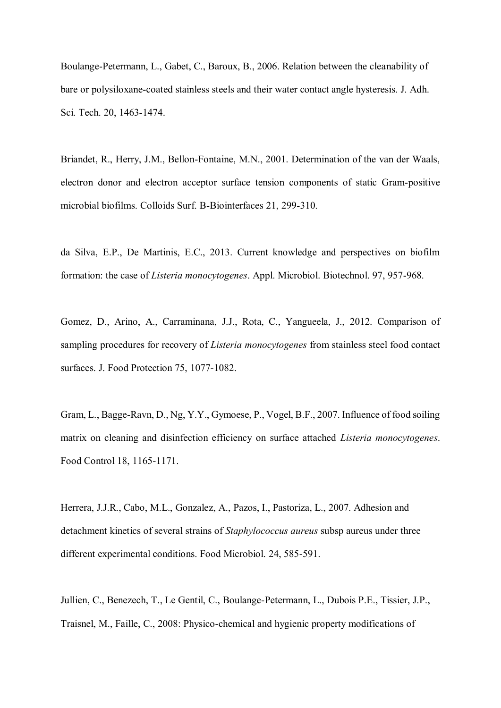Boulange-Petermann, L., Gabet, C., Baroux, B., 2006. Relation between the cleanability of bare or polysiloxane-coated stainless steels and their water contact angle hysteresis. J. Adh. Sci. Tech. 20, 1463-1474.

Briandet, R., Herry, J.M., Bellon-Fontaine, M.N., 2001. Determination of the van der Waals, electron donor and electron acceptor surface tension components of static Gram-positive microbial biofilms. Colloids Surf. B-Biointerfaces 21, 299-310.

da Silva, E.P., De Martinis, E.C., 2013. Current knowledge and perspectives on biofilm formation: the case of *Listeria monocytogenes*. Appl. Microbiol. Biotechnol. 97, 957-968.

Gomez, D., Arino, A., Carraminana, J.J., Rota, C., Yangueela, J., 2012. Comparison of sampling procedures for recovery of *Listeria monocytogenes* from stainless steel food contact surfaces. J. Food Protection 75, 1077-1082.

Gram, L., Bagge-Ravn, D., Ng, Y.Y., Gymoese, P., Vogel, B.F., 2007. Influence of food soiling matrix on cleaning and disinfection efficiency on surface attached *Listeria monocytogenes*. Food Control 18, 1165-1171.

Herrera, J.J.R., Cabo, M.L., Gonzalez, A., Pazos, I., Pastoriza, L., 2007. Adhesion and detachment kinetics of several strains of *Staphylococcus aureus* subsp aureus under three different experimental conditions. Food Microbiol. 24, 585-591.

Jullien, C., Benezech, T., Le Gentil, C., Boulange-Petermann, L., Dubois P.E., Tissier, J.P., Traisnel, M., Faille, C., 2008: Physico-chemical and hygienic property modifications of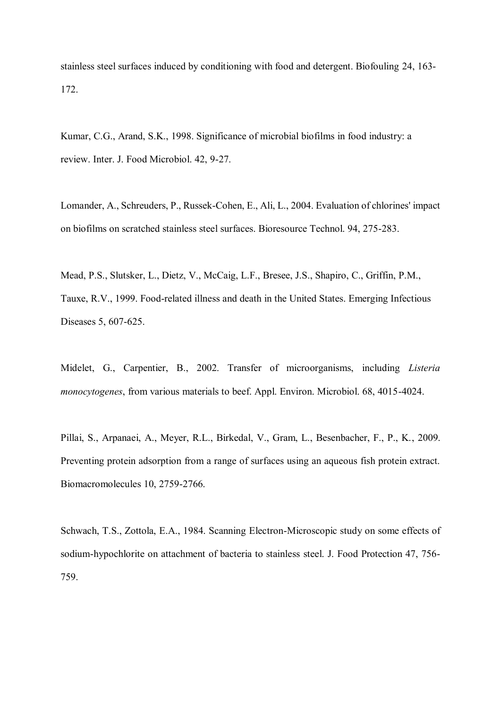stainless steel surfaces induced by conditioning with food and detergent. Biofouling 24, 163- 172.

Kumar, C.G., Arand, S.K., 1998. Significance of microbial biofilms in food industry: a review. Inter. J. Food Microbiol. 42, 9-27.

Lomander, A., Schreuders, P., Russek-Cohen, E., Ali, L., 2004. Evaluation of chlorines' impact on biofilms on scratched stainless steel surfaces. Bioresource Technol. 94, 275-283.

Mead, P.S., Slutsker, L., Dietz, V., McCaig, L.F., Bresee, J.S., Shapiro, C., Griffin, P.M., Tauxe, R.V., 1999. Food-related illness and death in the United States. Emerging Infectious Diseases 5, 607-625.

Midelet, G., Carpentier, B., 2002. Transfer of microorganisms, including *Listeria monocytogenes*, from various materials to beef. Appl. Environ. Microbiol. 68, 4015-4024.

Pillai, S., Arpanaei, A., Meyer, R.L., Birkedal, V., Gram, L., Besenbacher, F., P., K., 2009. Preventing protein adsorption from a range of surfaces using an aqueous fish protein extract. Biomacromolecules 10, 2759-2766.

Schwach, T.S., Zottola, E.A., 1984. Scanning Electron-Microscopic study on some effects of sodium-hypochlorite on attachment of bacteria to stainless steel. J. Food Protection 47, 756- 759.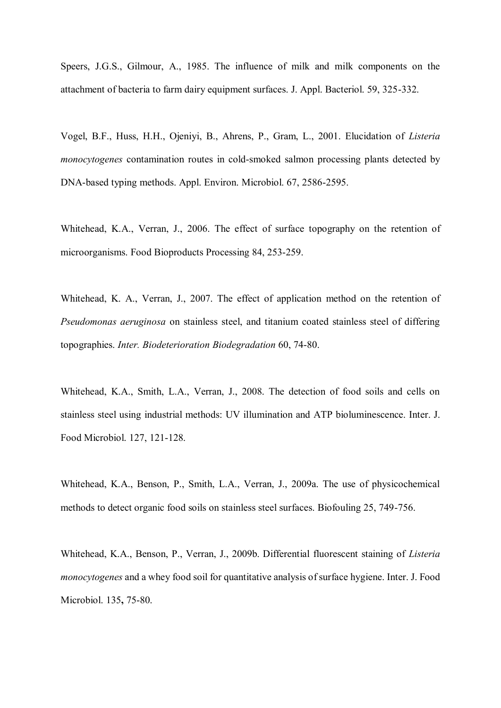Speers, J.G.S., Gilmour, A., 1985. The influence of milk and milk components on the attachment of bacteria to farm dairy equipment surfaces. J. Appl. Bacteriol. 59, 325-332.

Vogel, B.F., Huss, H.H., Ojeniyi, B., Ahrens, P., Gram, L., 2001. Elucidation of *Listeria monocytogenes* contamination routes in cold-smoked salmon processing plants detected by DNA-based typing methods. Appl. Environ. Microbiol. 67, 2586-2595.

Whitehead, K.A., Verran, J., 2006. The effect of surface topography on the retention of microorganisms. Food Bioproducts Processing 84, 253-259.

Whitehead, K. A., Verran, J., 2007. The effect of application method on the retention of *Pseudomonas aeruginosa* on stainless steel, and titanium coated stainless steel of differing topographies. *Inter. Biodeterioration Biodegradation* 60, 74-80.

Whitehead, K.A., Smith, L.A., Verran, J., 2008. The detection of food soils and cells on stainless steel using industrial methods: UV illumination and ATP bioluminescence. Inter. J. Food Microbiol. 127, 121-128.

Whitehead, K.A., Benson, P., Smith, L.A., Verran, J., 2009a. The use of physicochemical methods to detect organic food soils on stainless steel surfaces. Biofouling 25, 749-756.

Whitehead, K.A., Benson, P., Verran, J., 2009b. Differential fluorescent staining of *Listeria monocytogenes* and a whey food soil for quantitative analysis of surface hygiene. Inter. J. Food Microbiol. 135**,** 75-80.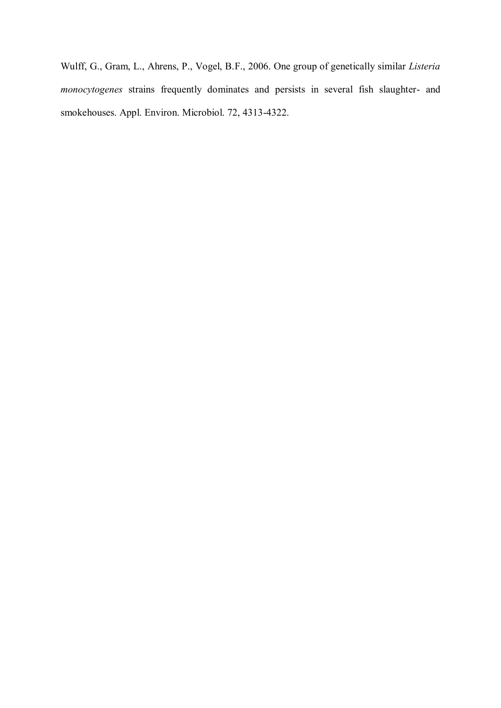Wulff, G., Gram, L., Ahrens, P., Vogel, B.F., 2006. One group of genetically similar *Listeria monocytogenes* strains frequently dominates and persists in several fish slaughter- and smokehouses. Appl. Environ. Microbiol. 72, 4313-4322.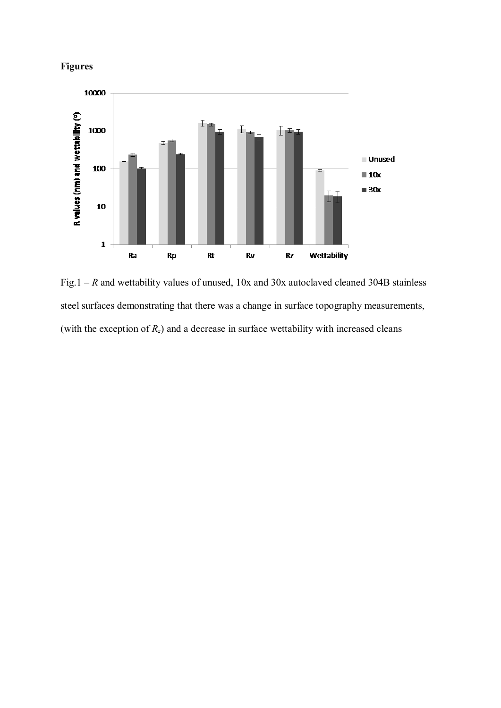



Fig.1 – *R* and wettability values of unused, 10x and 30x autoclaved cleaned 304B stainless steel surfaces demonstrating that there was a change in surface topography measurements, (with the exception of  $R_z$ ) and a decrease in surface wettability with increased cleans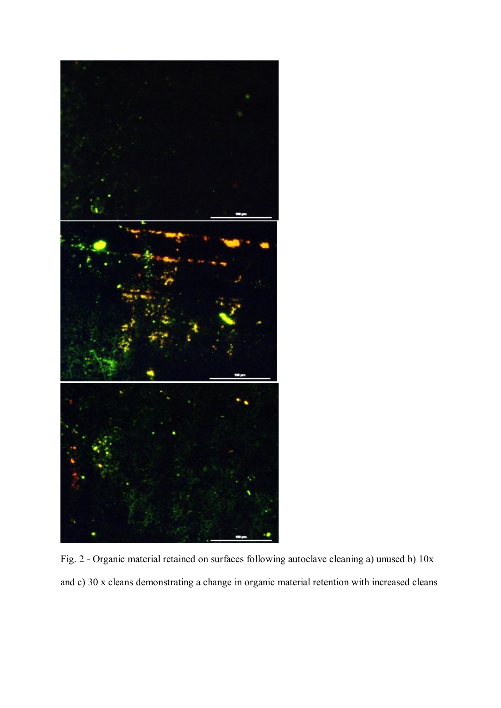

Fig. 2 - Organic material retained on surfaces following autoclave cleaning a) unused b) 10x and c) 30 x cleans demonstrating a change in organic material retention with increased cleans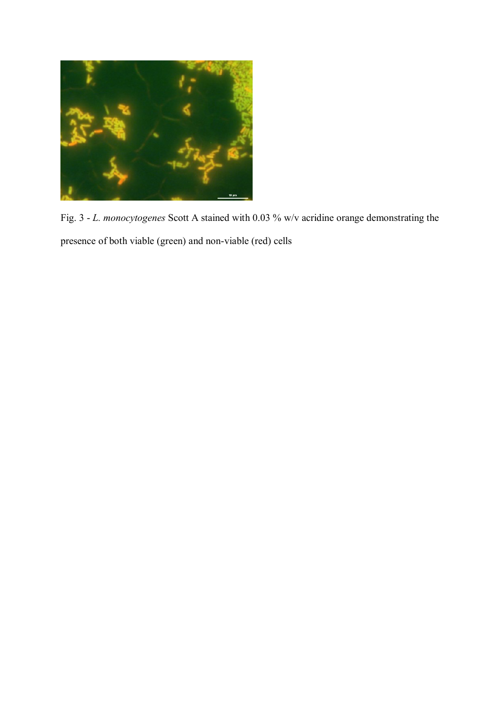

Fig. 3 - *L. monocytogenes* Scott A stained with 0.03 % w/v acridine orange demonstrating the presence of both viable (green) and non-viable (red) cells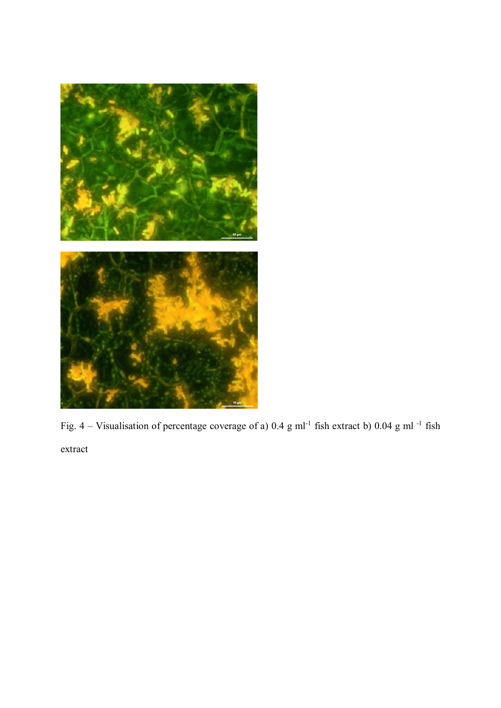

Fig. 4 – Visualisation of percentage coverage of a) 0.4 g ml<sup>-1</sup> fish extract b) 0.04 g ml<sup>-1</sup> fish extract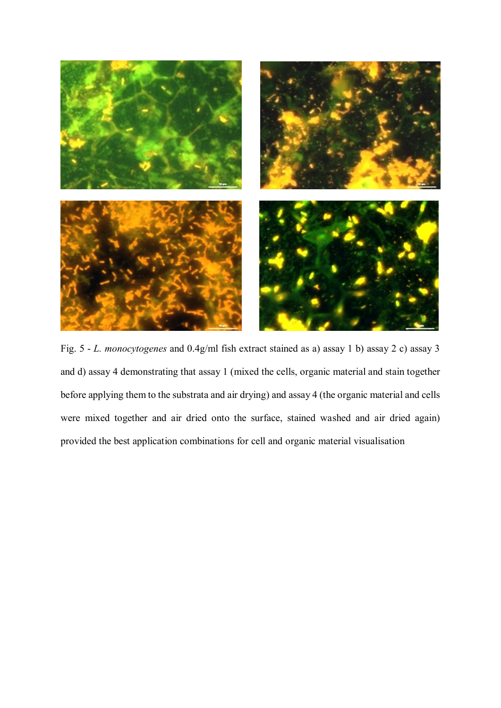

Fig. 5 - *L. monocytogenes* and 0.4g/ml fish extract stained as a) assay 1 b) assay 2 c) assay 3 and d) assay 4 demonstrating that assay 1 (mixed the cells, organic material and stain together before applying them to the substrata and air drying) and assay 4 (the organic material and cells were mixed together and air dried onto the surface, stained washed and air dried again) provided the best application combinations for cell and organic material visualisation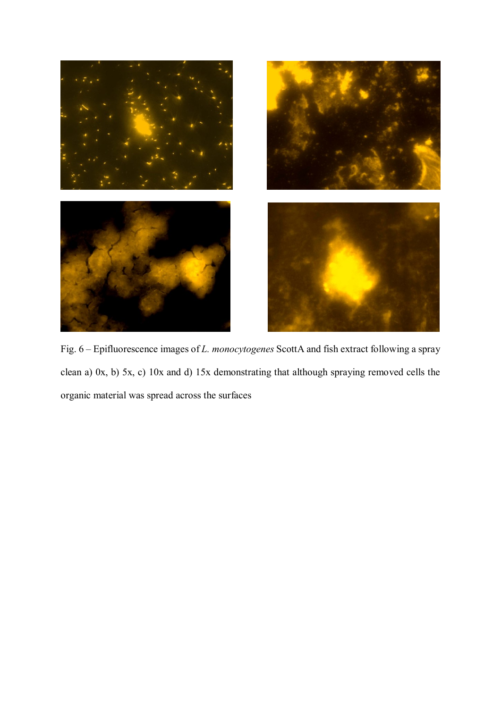

Fig. 6 – Epifluorescence images of *L. monocytogenes* ScottA and fish extract following a spray clean a) 0x, b) 5x, c) 10x and d) 15x demonstrating that although spraying removed cells the organic material was spread across the surfaces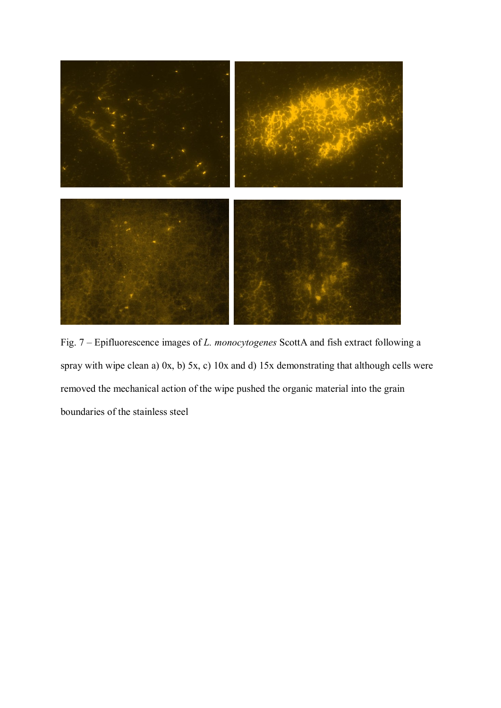

Fig. 7 – Epifluorescence images of *L. monocytogenes* ScottA and fish extract following a spray with wipe clean a) 0x, b) 5x, c) 10x and d) 15x demonstrating that although cells were removed the mechanical action of the wipe pushed the organic material into the grain boundaries of the stainless steel